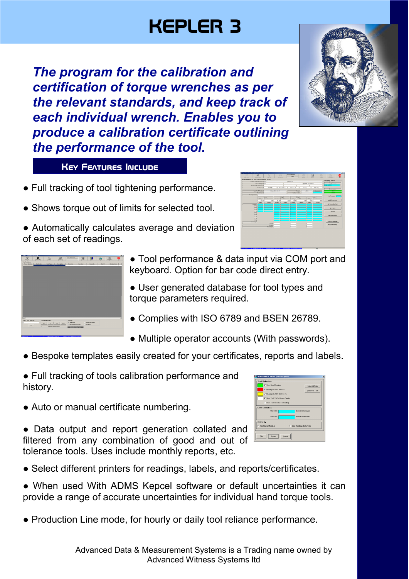## KEPLER 3

*The program for the calibration and certification of torque wrenches as per the relevant standards, and keep track of each individual wrench. Enables you to produce a calibration certificate outlining the performance of the tool.* 

**KEY FEATURES INCLUDE** 

- Full tracking of tool tightening performance.
- Shows torque out of limits for selected tool.
- Automatically calculates average and deviation of each set of readings.





**Maria** 

- Tool performance & data input via COM port and keyboard. Option for bar code direct entry.
- User generated database for tool types and torque parameters required.
- Complies with ISO 6789 and BSEN 26789.
- Multiple operator accounts (With passwords).
- Bespoke templates easily created for your certificates, reports and labels.

● Full tracking of tools calibration performance and history.

• Auto or manual certificate numbering.

• Data output and report generation collated and filtered from any combination of good and out of tolerance tools. Uses include monthly reports, etc.



- Select different printers for readings, labels, and reports/certificates.
- When used With ADMS Kepcel software or default uncertainties it can provide a range of accurate uncertainties for individual hand torque tools.
- Production Line mode, for hourly or daily tool reliance performance.